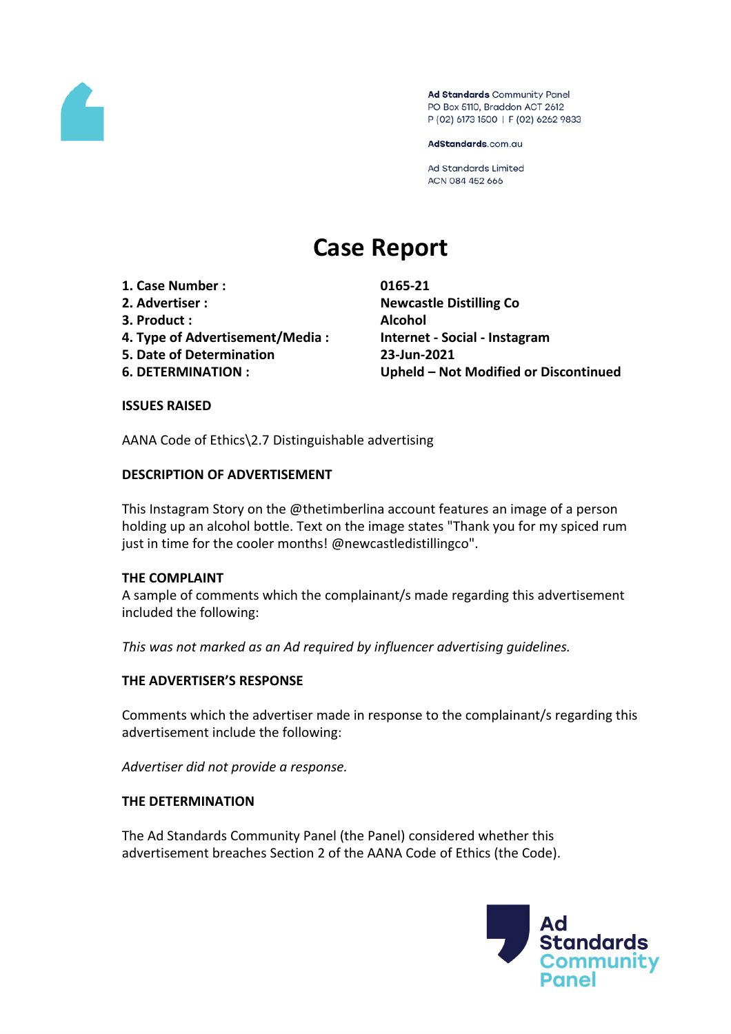

Ad Standards Community Panel PO Box 5110, Braddon ACT 2612 P (02) 6173 1500 | F (02) 6262 9833

AdStandards.com.au

Ad Standards Limited ACN 084 452 666

# **Case Report**

- **1. Case Number : 0165-21**
- 
- **3. Product : Alcohol**
- **4. Type of Advertisement/Media : Internet - Social - Instagram**
- **5. Date of Determination 23-Jun-2021**
- 

**2. Advertiser : Newcastle Distilling Co 6. DETERMINATION : Upheld – Not Modified or Discontinued**

#### **ISSUES RAISED**

AANA Code of Ethics\2.7 Distinguishable advertising

#### **DESCRIPTION OF ADVERTISEMENT**

This Instagram Story on the @thetimberlina account features an image of a person holding up an alcohol bottle. Text on the image states "Thank you for my spiced rum just in time for the cooler months! @newcastledistillingco".

#### **THE COMPLAINT**

A sample of comments which the complainant/s made regarding this advertisement included the following:

*This was not marked as an Ad required by influencer advertising guidelines.*

#### **THE ADVERTISER'S RESPONSE**

Comments which the advertiser made in response to the complainant/s regarding this advertisement include the following:

*Advertiser did not provide a response.*

#### **THE DETERMINATION**

The Ad Standards Community Panel (the Panel) considered whether this advertisement breaches Section 2 of the AANA Code of Ethics (the Code).

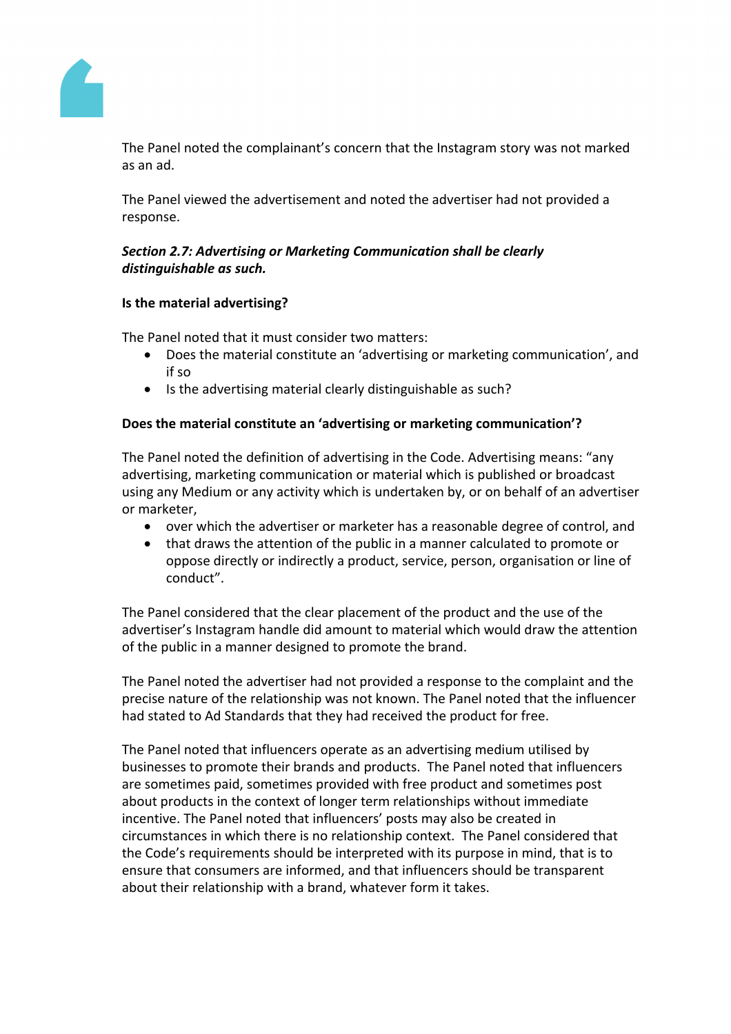

The Panel noted the complainant's concern that the Instagram story was not marked as an ad.

The Panel viewed the advertisement and noted the advertiser had not provided a response.

## *Section 2.7: Advertising or Marketing Communication shall be clearly distinguishable as such.*

#### **Is the material advertising?**

The Panel noted that it must consider two matters:

- Does the material constitute an 'advertising or marketing communication', and if so
- Is the advertising material clearly distinguishable as such?

## **Does the material constitute an 'advertising or marketing communication'?**

The Panel noted the definition of advertising in the Code. Advertising means: "any advertising, marketing communication or material which is published or broadcast using any Medium or any activity which is undertaken by, or on behalf of an advertiser or marketer,

- over which the advertiser or marketer has a reasonable degree of control, and
- that draws the attention of the public in a manner calculated to promote or oppose directly or indirectly a product, service, person, organisation or line of conduct".

The Panel considered that the clear placement of the product and the use of the advertiser's Instagram handle did amount to material which would draw the attention of the public in a manner designed to promote the brand.

The Panel noted the advertiser had not provided a response to the complaint and the precise nature of the relationship was not known. The Panel noted that the influencer had stated to Ad Standards that they had received the product for free.

The Panel noted that influencers operate as an advertising medium utilised by businesses to promote their brands and products. The Panel noted that influencers are sometimes paid, sometimes provided with free product and sometimes post about products in the context of longer term relationships without immediate incentive. The Panel noted that influencers' posts may also be created in circumstances in which there is no relationship context. The Panel considered that the Code's requirements should be interpreted with its purpose in mind, that is to ensure that consumers are informed, and that influencers should be transparent about their relationship with a brand, whatever form it takes.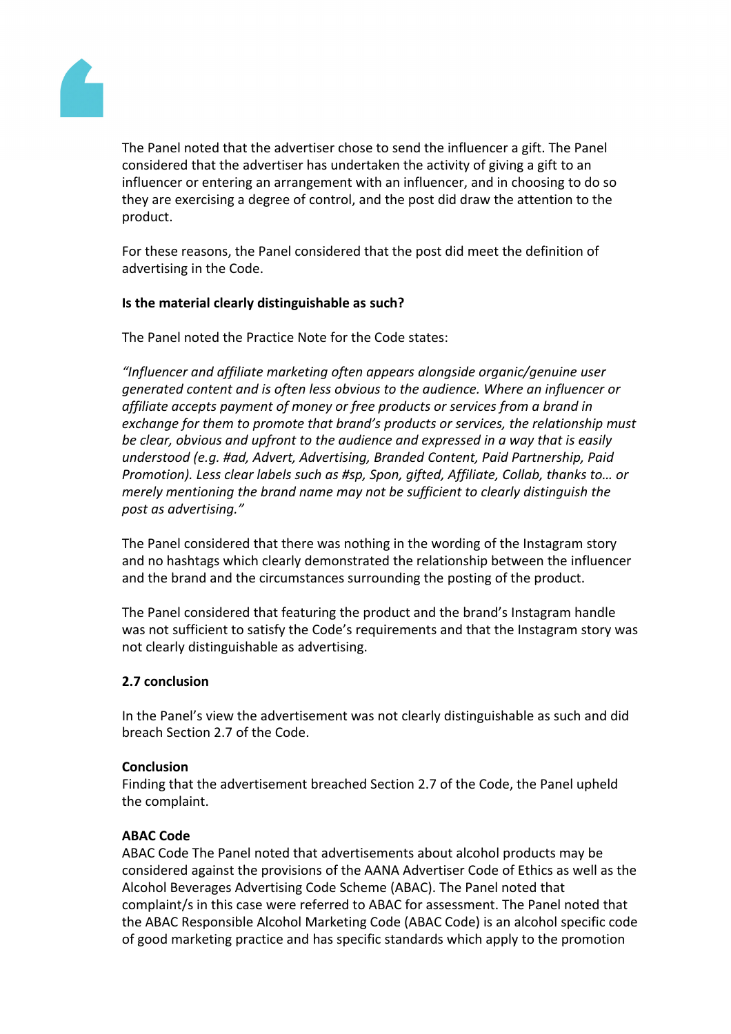

The Panel noted that the advertiser chose to send the influencer a gift. The Panel considered that the advertiser has undertaken the activity of giving a gift to an influencer or entering an arrangement with an influencer, and in choosing to do so they are exercising a degree of control, and the post did draw the attention to the product.

For these reasons, the Panel considered that the post did meet the definition of advertising in the Code.

#### **Is the material clearly distinguishable as such?**

The Panel noted the Practice Note for the Code states:

*"Influencer and affiliate marketing often appears alongside organic/genuine user generated content and is often less obvious to the audience. Where an influencer or affiliate accepts payment of money or free products or services from a brand in exchange for them to promote that brand's products or services, the relationship must be clear, obvious and upfront to the audience and expressed in a way that is easily understood (e.g. #ad, Advert, Advertising, Branded Content, Paid Partnership, Paid Promotion). Less clear labels such as #sp, Spon, gifted, Affiliate, Collab, thanks to… or merely mentioning the brand name may not be sufficient to clearly distinguish the post as advertising."*

The Panel considered that there was nothing in the wording of the Instagram story and no hashtags which clearly demonstrated the relationship between the influencer and the brand and the circumstances surrounding the posting of the product.

The Panel considered that featuring the product and the brand's Instagram handle was not sufficient to satisfy the Code's requirements and that the Instagram story was not clearly distinguishable as advertising.

## **2.7 conclusion**

In the Panel's view the advertisement was not clearly distinguishable as such and did breach Section 2.7 of the Code.

#### **Conclusion**

Finding that the advertisement breached Section 2.7 of the Code, the Panel upheld the complaint.

#### **ABAC Code**

ABAC Code The Panel noted that advertisements about alcohol products may be considered against the provisions of the AANA Advertiser Code of Ethics as well as the Alcohol Beverages Advertising Code Scheme (ABAC). The Panel noted that complaint/s in this case were referred to ABAC for assessment. The Panel noted that the ABAC Responsible Alcohol Marketing Code (ABAC Code) is an alcohol specific code of good marketing practice and has specific standards which apply to the promotion